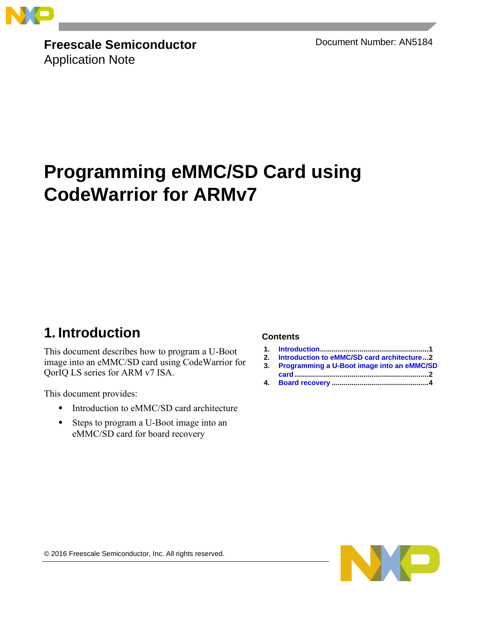

**Freescale Semiconductor** Application Note

Document Number: AN5184

# **Programming eMMC/SD Card using CodeWarrior for ARMv7**

## <span id="page-0-0"></span>**1. Introduction**

This document describes how to program a U-Boot image into an eMMC/SD card using CodeWarrior for QorIQ LS series for ARM v7 ISA.

This document provides:

- Introduction to eMMC/SD card architecture
- Steps to program a U-Boot image into an eMMC/SD card for board recovery

#### **Contents**

- **1. [Introduction.......................................................1](#page-0-0)**
- **2. [Introduction to eMMC/SD card architecture...2](#page-1-0)**
- **3. [Programming a U-Boot image into an eMMC/SD](#page-1-1)  [card....................................................................2](#page-1-1)**
- **4. Board recovery [.................................................4](#page-3-0)**

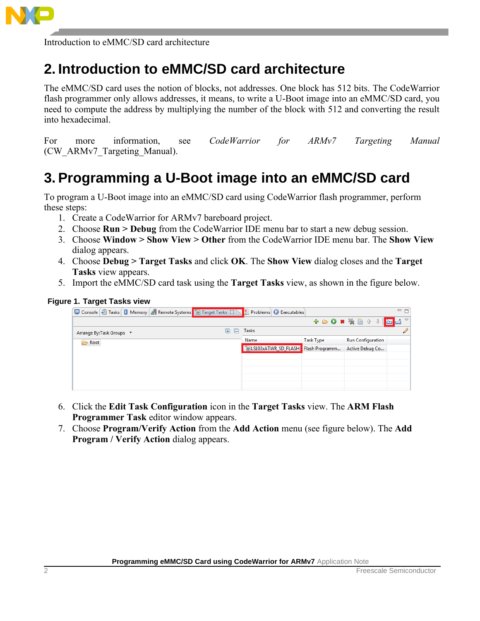

Introduction to eMMC/SD card architecture

## <span id="page-1-0"></span>**2. Introduction to eMMC/SD card architecture**

The eMMC/SD card uses the notion of blocks, not addresses. One block has 512 bits. The CodeWarrior flash programmer only allows addresses, it means, to write a U-Boot image into an eMMC/SD card, you need to compute the address by multiplying the number of the block with 512 and converting the result into hexadecimal.

For more information, see *CodeWarrior for ARMv7 Targeting Manual* (CW\_ARMv7\_Targeting\_Manual).

## <span id="page-1-1"></span>**3. Programming a U-Boot image into an eMMC/SD card**

To program a U-Boot image into an eMMC/SD card using CodeWarrior flash programmer, perform these steps:

- 1. Create a CodeWarrior for ARMv7 bareboard project.
- 2. Choose **Run > Debug** from the CodeWarrior IDE menu bar to start a new debug session.
- 3. Choose **Window > Show View > Other** from the CodeWarrior IDE menu bar. The **Show View** dialog appears.
- 4. Choose **Debug > Target Tasks** and click **OK**. The **Show View** dialog closes and the **Target Tasks** view appears.
- 5. Import the eMMC/SD card task using the **Target Tasks** view, as shown in the figure below.

#### **Figure 1. Target Tasks view**

| □ Console 2 Tasks   □ Memory   』 Remote Systems   © Target Tasks $\otimes \setminus \mathbb{R}$ Problems   ● Executables |       |                                     |                                    | - 日 |
|--------------------------------------------------------------------------------------------------------------------------|-------|-------------------------------------|------------------------------------|-----|
|                                                                                                                          |       |                                     | + 8 0 * ※ B + + <mark>8 4</mark> 7 |     |
| Arrange By: Task Groups ▼                                                                                                | Tasks |                                     |                                    |     |
| Root                                                                                                                     | Name  | <b>Task Type</b>                    | <b>Run Configuration</b>           |     |
|                                                                                                                          |       | CLS102xATWR_SD_FLASH Flash Programm | Active Debug Co                    |     |
|                                                                                                                          |       |                                     |                                    |     |
|                                                                                                                          |       |                                     |                                    |     |
|                                                                                                                          |       |                                     |                                    |     |
|                                                                                                                          |       |                                     |                                    |     |

- 6. Click the **Edit Task Configuration** icon in the **Target Tasks** view. The **ARM Flash Programmer Task** editor window appears.
- 7. Choose **Program/Verify Action** from the **Add Action** menu (see figure below). The **Add Program / Verify Action** dialog appears.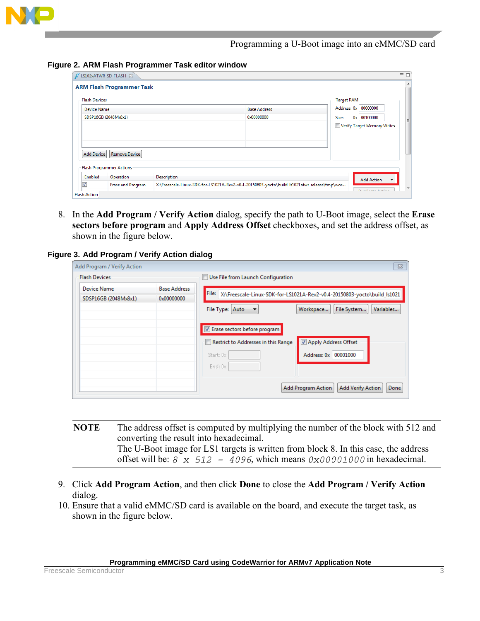

Programming a U-Boot image into an eMMC/SD card

#### **Figure 2. ARM Flash Programmer Task editor window**

|                                     | <b>ARM Flash Programmer Task</b> |                    |                                                                                              |                                           |
|-------------------------------------|----------------------------------|--------------------|----------------------------------------------------------------------------------------------|-------------------------------------------|
| <b>Flash Devices</b><br>Device Name |                                  |                    | <b>Base Address</b>                                                                          | <b>Target RAM</b><br>Address: 0x 80000000 |
|                                     | SDSP16GB (2048Mx8x1)             |                    | 0x00000000                                                                                   | 0x 00100000<br>Size:                      |
|                                     |                                  |                    |                                                                                              | Verify Target Memory Writes               |
|                                     |                                  |                    |                                                                                              |                                           |
|                                     |                                  |                    |                                                                                              |                                           |
| <b>Add Device</b>                   | <b>Remove Device</b>             |                    |                                                                                              |                                           |
|                                     | <b>Flash Programmer Actions:</b> |                    |                                                                                              |                                           |
| Enabled                             | Operation                        | <b>Description</b> |                                                                                              | <b>Add Action</b>                         |
| $\overline{\mathsf{v}}$             | <b>Erase and Program</b>         |                    | X:\Freescale-Linux-SDK-for-LS1021A-Rev2-v0.4-20150803-yocto\build_Is1021atwr_release\tmp\wor |                                           |

8. In the **Add Program / Verify Action** dialog, specify the path to U-Boot image, select the **Erase sectors before program** and **Apply Address Offset** checkboxes, and set the address offset, as shown in the figure below.

**Figure 3. Add Program / Verify Action dialog**

| Add Program / Verify Action         |                                   |                                     | $\Sigma$                                                                       |
|-------------------------------------|-----------------------------------|-------------------------------------|--------------------------------------------------------------------------------|
| <b>Flash Devices</b>                |                                   | Use File from Launch Configuration  |                                                                                |
| Device Name<br>SDSP16GB (2048Mx8x1) | <b>Base Address</b><br>0x00000000 |                                     | File: X:\Freescale-Linux-SDK-for-LS1021A-Rev2-v0.4-20150803-yocto\build_ls1021 |
|                                     |                                   | File Type: Auto                     | Variables<br>Workspace<br>File System                                          |
|                                     |                                   | Erase sectors before program        |                                                                                |
|                                     |                                   | Restrict to Addresses in this Range | Apply Address Offset                                                           |
|                                     |                                   | Start: 0x                           | Address: 0x 00001000                                                           |
|                                     |                                   | End: $0x$                           |                                                                                |
|                                     |                                   |                                     | <b>Add Verify Action</b><br>Add Program Action<br>Done                         |

- **NOTE** The address offset is computed by multiplying the number of the block with 512 and converting the result into hexadecimal. The U-Boot image for LS1 targets is written from block 8. In this case, the address offset will be:  $8 \times 512 = 4096$ , which means  $0 \times 00001000$  in hexadecimal.
- 9. Click **Add Program Action**, and then click **Done** to close the **Add Program / Verify Action** dialog.
- 10. Ensure that a valid eMMC/SD card is available on the board, and execute the target task, as shown in the figure below.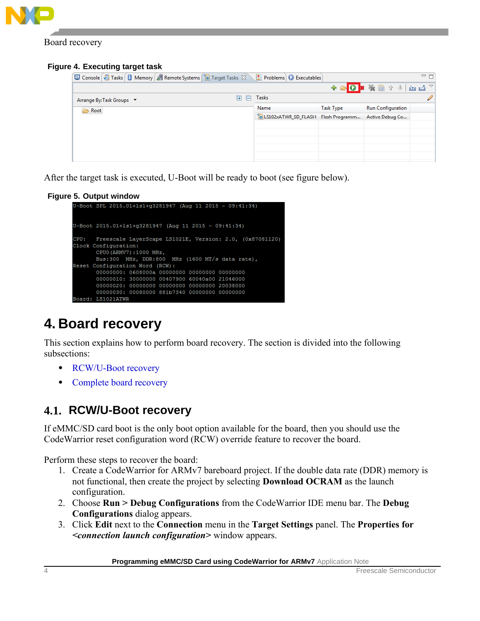

Board recovery

#### **Figure 4. Executing target task**

|                           | □ Console <i>□</i> Tasks <i>□</i> Memory 曲 Remote Systems   ■ Target Tasks ※ ■ Problems   ■ Executables |                                     |                  |                                                        | $=$ $\Box$ |
|---------------------------|---------------------------------------------------------------------------------------------------------|-------------------------------------|------------------|--------------------------------------------------------|------------|
|                           |                                                                                                         |                                     |                  | + & <mark>0 * * * B + +   M M <math>\sim</math></mark> |            |
| Arrange By: Task Groups ▼ |                                                                                                         | Tasks                               |                  |                                                        |            |
| Root                      |                                                                                                         | Name                                | <b>Task Type</b> | <b>Run Configuration</b>                               |            |
|                           |                                                                                                         | CLS102xATWR_SD_FLASH Flash Programm |                  | Active Debug Co                                        |            |
|                           |                                                                                                         |                                     |                  |                                                        |            |
|                           |                                                                                                         |                                     |                  |                                                        |            |
|                           |                                                                                                         |                                     |                  |                                                        |            |
|                           |                                                                                                         |                                     |                  |                                                        |            |
|                           |                                                                                                         |                                     |                  |                                                        |            |

After the target task is executed, U-Boot will be ready to boot (see figure below).

#### **Figure 5. Output window**

```
U-Boot SPL 2015.01+1s1+g3281947 (Aug 11 2015 - 09:41:34)
U-Boot 2015.01+1s1+g3281947 (Aug 11 2015 - 09:41:34)
CPU: Freescale LayerScape LS1021E, Version: 2.0, (0x87081120)
Clock Configuration:
        CPU0 (ARMV7):1000 MHz,
        Bus:300 MHz, DDR:800 MHz (1600 MT/s data rate),
Reset Configuration Word (RCW):
        00000000: 0608000a 00000000 00000000 00000000
        {\tt 00000010:}\ {\tt 30000000}\ {\tt 00407900}\ {\tt 60040a00}\ {\tt 21046000}\ {\tt 00000020:}\ {\tt 00000000}\ {\tt 00000000}\ {\tt 20038000}00000030: 00080000 881b7340 00000000 00000000
        LS1021ATWR
```
# <span id="page-3-0"></span>**4. Board recovery**

This section explains how to perform board recovery. The section is divided into the following subsections:

- [RCW/U-Boot recovery](#page-3-1)
- Complete [board recovery](#page-5-0)

### <span id="page-3-1"></span>**4.1. RCW/U-Boot recovery**

If eMMC/SD card boot is the only boot option available for the board, then you should use the CodeWarrior reset configuration word (RCW) override feature to recover the board.

Perform these steps to recover the board:

- 1. Create a CodeWarrior for ARMv7 bareboard project. If the double data rate (DDR) memory is not functional, then create the project by selecting **Download OCRAM** as the launch configuration.
- 2. Choose **Run > Debug Configurations** from the CodeWarrior IDE menu bar. The **Debug Configurations** dialog appears.
- 3. Click **Edit** next to the **Connection** menu in the **Target Settings** panel. The **Properties for**  *<connection launch configuration>* window appears.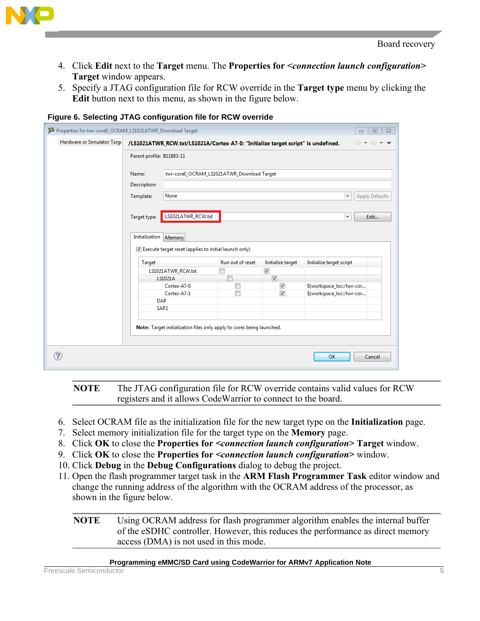

- 4. Click **Edit** next to the **Target** menu. The **Properties for** *<connection launch configuration>* **Target** window appears.
- 5. Specify a JTAG configuration file for RCW override in the **Target type** menu by clicking the **Edit** button next to this menu, as shown in the figure below.

| Hardware or Simulator Targe |                                                                        | /LS1021ATWR_RCW.txt/LS1021A/Cortex-A7-0: "Initialize target script" is undefined. |                          | $\iff \Rightarrow \Rightarrow \bullet \bullet$ |  |  |
|-----------------------------|------------------------------------------------------------------------|-----------------------------------------------------------------------------------|--------------------------|------------------------------------------------|--|--|
|                             | Parent profile: B11883-11                                              |                                                                                   |                          |                                                |  |  |
|                             | Name:                                                                  | twr-core0_OCRAM_LS1021ATWR_Download Target                                        |                          |                                                |  |  |
|                             | Description:                                                           |                                                                                   |                          |                                                |  |  |
|                             | None<br><b>Apply Defaults</b><br>Template:<br>$\overline{\phantom{a}}$ |                                                                                   |                          |                                                |  |  |
|                             | Initialization                                                         |                                                                                   |                          |                                                |  |  |
|                             | Memory                                                                 |                                                                                   |                          |                                                |  |  |
|                             | <b>Target</b>                                                          | Execute target reset (applies to initial launch only)<br>Run out of reset         | Initialize target        | Initialize target script                       |  |  |
|                             | LS1021ATWR_RCW.txt                                                     |                                                                                   | $\overline{\mathcal{J}}$ |                                                |  |  |
|                             | LS1021A                                                                | г                                                                                 | $\overline{\mathbf{v}}$  |                                                |  |  |
|                             | Cortex-A7-0                                                            | $\Box$                                                                            | $\blacktriangledown$     | \${workspace_loc:/twr-cor                      |  |  |
|                             | Cortex-A7-1                                                            | $\Box$                                                                            | $\overline{\mathcal{F}}$ | \${workspace_loc:/twr-cor                      |  |  |
|                             | <b>DAP</b><br>SAP <sub>2</sub>                                         |                                                                                   |                          |                                                |  |  |
|                             |                                                                        |                                                                                   |                          |                                                |  |  |
|                             |                                                                        | Note: Target initialization files only apply to cores being launched.             |                          |                                                |  |  |
|                             |                                                                        |                                                                                   |                          |                                                |  |  |

**Figure 6. Selecting JTAG configuration file for RCW override**

**NOTE** The JTAG configuration file for RCW override contains valid values for RCW registers and it allows CodeWarrior to connect to the board.

- 6. Select OCRAM file as the initialization file for the new target type on the **Initialization** page.
- 7. Select memory initialization file for the target type on the **Memory** page.
- 8. Click **OK** to close the **Properties for** *<connection launch configuration>* **Target** window.
- 9. Click **OK** to close the **Properties for** *<connection launch configuration>* window.
- 10. Click **Debug** in the **Debug Configurations** dialog to debug the project.
- 11. Open the flash programmer target task in the **ARM Flash Programmer Task** editor window and change the running address of the algorithm with the OCRAM address of the processor, as shown in the figure below.

#### **NOTE** Using OCRAM address for flash programmer algorithm enables the internal buffer of the eSDHC controller. However, this reduces the performance as direct memory access (DMA) is not used in this mode.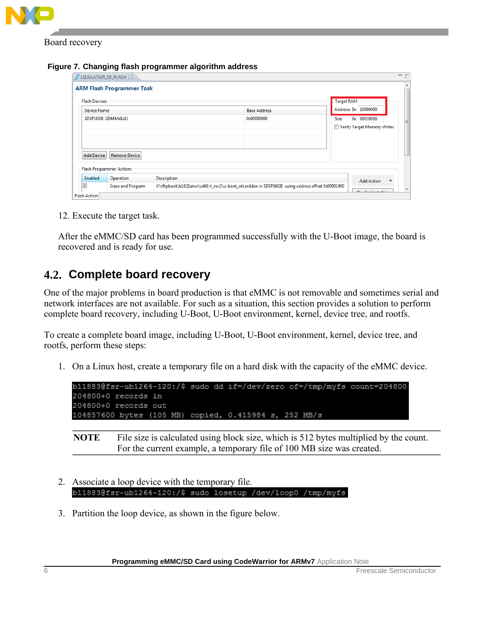

Board recovery

**Figure 7. Changing flash programmer algorithm address**

| <b>Flash Devices</b> |                          |                    |                     | Target RAM                                    |
|----------------------|--------------------------|--------------------|---------------------|-----------------------------------------------|
| Device Name          |                          |                    | <b>Base Address</b> | Address: 0x 10000000                          |
|                      | SDSP16GB (2048Mx8x1)     |                    | 0x00000000          | Size:<br>0x 00020000                          |
|                      |                          |                    |                     | Verify Target Memory Writes                   |
|                      |                          |                    |                     |                                               |
| <b>Add Device</b>    | <b>Remove Device</b>     |                    |                     |                                               |
|                      | Flash Programmer Actions |                    |                     |                                               |
|                      | Operation                | <b>Description</b> |                     | <b>Add Action</b><br>$\overline{\phantom{a}}$ |
| Enabled              |                          |                    |                     |                                               |

12. Execute the target task.

After the eMMC/SD card has been programmed successfully with the U-Boot image, the board is recovered and is ready for use.

### <span id="page-5-0"></span>**4.2. Complete board recovery**

One of the major problems in board production is that eMMC is not removable and sometimes serial and network interfaces are not available. For such as a situation, this section provides a solution to perform complete board recovery, including U-Boot, U-Boot environment, kernel, device tree, and rootfs.

To create a complete board image, including U-Boot, U-Boot environment, kernel, device tree, and rootfs, perform these steps:

1. On a Linux host, create a temporary file on a hard disk with the capacity of the eMMC device.



**NOTE** File size is calculated using block size, which is 512 bytes multiplied by the count. For the current example, a temporary file of 100 MB size was created.

- 2. Associate a loop device with the temporary file. b11883@fsr-ub1264-120:/\$ sudo losetup /dev/loop0 /tmp/myfs
- 3. Partition the loop device, as shown in the figure below.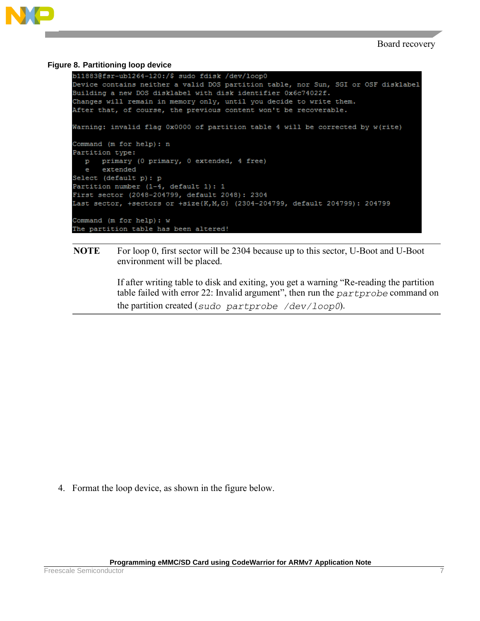

#### **Figure 8. Partitioning loop device**

```
b11883@fsr-ub1264-120:/$ sudo fdisk /dev/loop0
Device contains neither a valid DOS partition table, nor Sun, SGI or OSF disklabel
Building a new DOS disklabel with disk identifier 0x6c74022f.
Changes will remain in memory only, until you decide to write them.
After that, of course, the previous content won't be recoverable.
Warning: invalid flag 0x0000 of partition table 4 will be corrected by w(rite)
Command (m for help): n
Partition type:
  p primary (0 primary, 0 extended, 4 free)
  e extended
Select (default p): p
Partition number (1-4, default 1): 1
First sector (2048-204799, default 2048): 2304
Last sector, +sectors or +size{K, M, G} (2304-204799, default 204799): 204799
Command (m for help): w
The partition table has been altered!
```
#### **NOTE** For loop 0, first sector will be 2304 because up to this sector, U-Boot and U-Boot environment will be placed.

If after writing table to disk and exiting, you get a warning "Re-reading the partition table failed with error 22: Invalid argument", then run the  $partprobe$  command on the partition created (sudo partprobe  $/dev/loop0$ ).

4. Format the loop device, as shown in the figure below.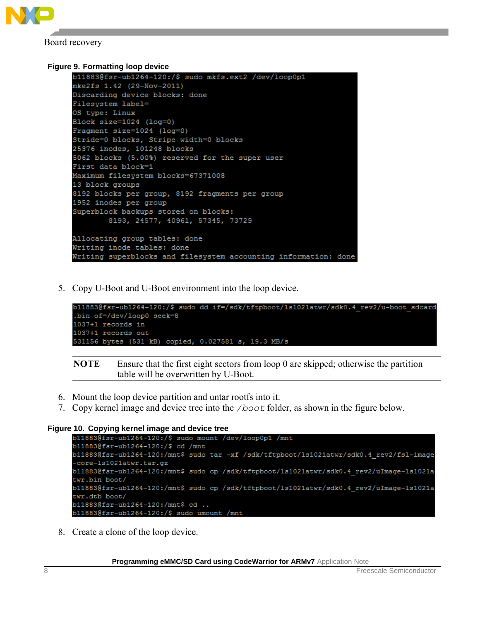

Board recovery

```
Figure 9. Formatting loop device
```

```
b11883@fsr-ub1264-120:/$ sudo mkfs.ext2 /dev/loop0p1
mke2fs 1.42 (29-Nov-2011)
Discarding device blocks: done
Filesystem label=
OS type: Linux
Block size=1024 (log=0)
Fragment size=1024 (log=0)
Stride=0 blocks, Stripe width=0 blocks
25376 inodes, 101248 blocks
5062 blocks (5.00%) reserved for the super user
First data block=1
Maximum filesystem blocks=67371008
13 block groups
8192 blocks per group, 8192 fragments per group
1952 inodes per group
Superblock backups stored on blocks:
        8193, 24577, 40961, 57345, 73729
Allocating group tables: done
Writing inode tables: done
Writing superblocks and filesystem accounting information: done
```
5. Copy U-Boot and U-Boot environment into the loop device.

```
b11883@fsr-ub1264-120:/$ sudo dd if=/sdk/tftpboot/ls1021atwr/sdk0.4 rev2/u-boot sdcard
.bin of=/dev/loop0 seek=8
1037+1 records in
1037+1 records out
531156 bytes (531 kB) copied, 0.027581 s, 19.3 MB/s
```
**NOTE** Ensure that the first eight sectors from loop 0 are skipped; otherwise the partition table will be overwritten by U-Boot.

- 6. Mount the loop device partition and untar rootfs into it.
- 7. Copy kernel image and device tree into the  $/boot$  folder, as shown in the figure below.

```
Figure 10. Copying kernel image and device tree
```

```
b11883@fsr-ub1264-120:/$ cd /mnt
b11883@fsr-ub1264-120:/mnt$ sudo tar -xf /sdk/tftpboot/ls1021atwr/sdk0.4 rev2/fsl-image
-core-1s1021atwr.tar.gz
b11883@fsr-ub1264-120:/mnt$ sudo cp /sdk/tftpboot/ls1021atwr/sdk0.4 rev2/uImage-1s1021a
twr.bin boot/
b11883@fsr-ub1264-120:/mnt$ sudo cp /sdk/tftpboot/ls1021atwr/sdk0.4 rev2/uImage-1s1021a
twr.dtb boot/
b11883@fsr-ub1264-120:/mnt$ cd ..
b11883@fsr-ub1264-120:/$ sudo umount /mnt
```
8. Create a clone of the loop device.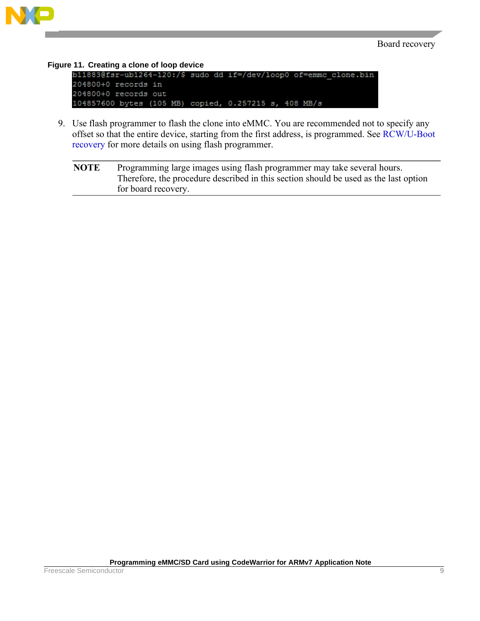

**Figure 11. Creating a clone of loop device** 204800+0 records in 204800+0 records out 104857600 bytes (105 MB) copied, 0.257215 s, 408 MB/s

9. Use flash programmer to flash the clone into eMMC. You are recommended not to specify any offset so that the entire device, starting from the first address, is programmed. See [RCW/U-Boot](#page-3-1)  [recovery](#page-3-1) for more details on using flash programmer.

**NOTE** Programming large images using flash programmer may take several hours. Therefore, the procedure described in this section should be used as the last option for board recovery.